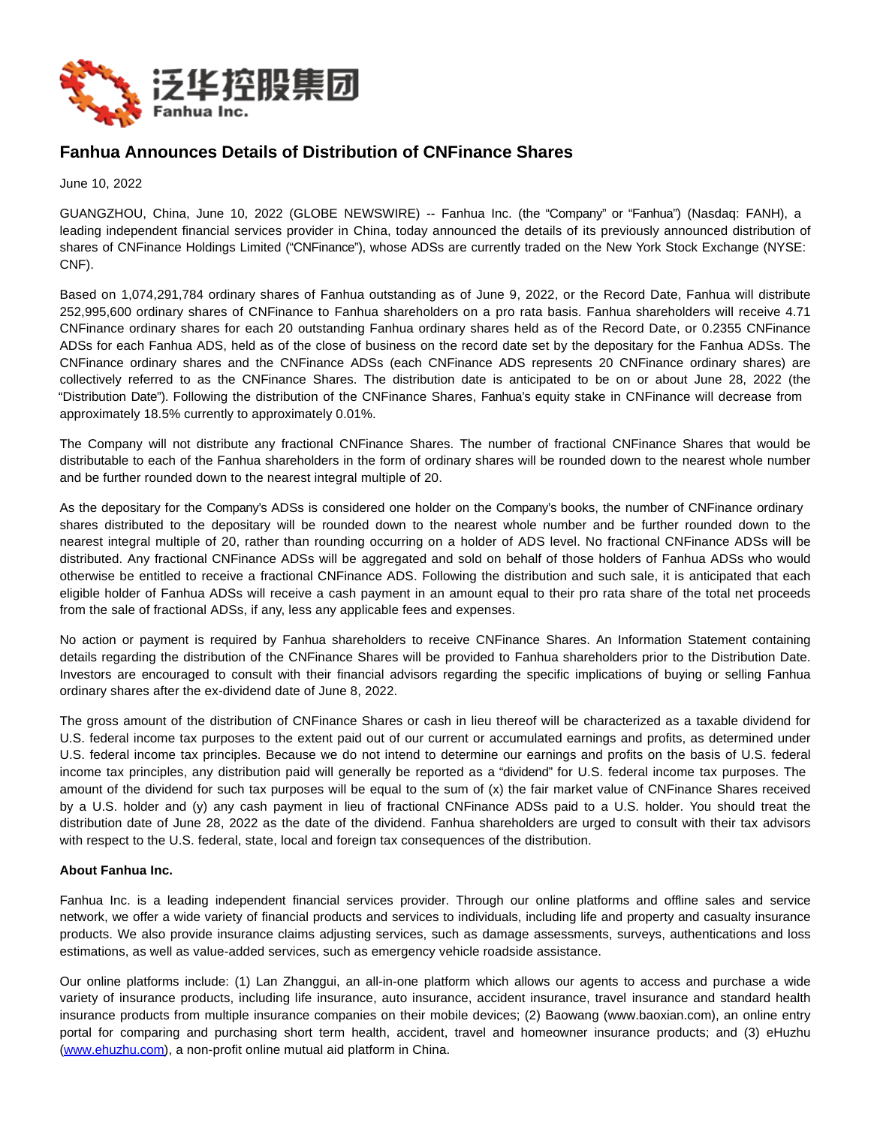

## **Fanhua Announces Details of Distribution of CNFinance Shares**

June 10, 2022

GUANGZHOU, China, June 10, 2022 (GLOBE NEWSWIRE) -- Fanhua Inc. (the "Company" or "Fanhua") (Nasdaq: FANH), a leading independent financial services provider in China, today announced the details of its previously announced distribution of shares of CNFinance Holdings Limited ("CNFinance"), whose ADSs are currently traded on the New York Stock Exchange (NYSE: CNF).

Based on 1,074,291,784 ordinary shares of Fanhua outstanding as of June 9, 2022, or the Record Date, Fanhua will distribute 252,995,600 ordinary shares of CNFinance to Fanhua shareholders on a pro rata basis. Fanhua shareholders will receive 4.71 CNFinance ordinary shares for each 20 outstanding Fanhua ordinary shares held as of the Record Date, or 0.2355 CNFinance ADSs for each Fanhua ADS, held as of the close of business on the record date set by the depositary for the Fanhua ADSs. The CNFinance ordinary shares and the CNFinance ADSs (each CNFinance ADS represents 20 CNFinance ordinary shares) are collectively referred to as the CNFinance Shares. The distribution date is anticipated to be on or about June 28, 2022 (the "Distribution Date"). Following the distribution of the CNFinance Shares, Fanhua's equity stake in CNFinance will decrease from approximately 18.5% currently to approximately 0.01%.

The Company will not distribute any fractional CNFinance Shares. The number of fractional CNFinance Shares that would be distributable to each of the Fanhua shareholders in the form of ordinary shares will be rounded down to the nearest whole number and be further rounded down to the nearest integral multiple of 20.

As the depositary for the Company's ADSs is considered one holder on the Company's books, the number of CNFinance ordinary shares distributed to the depositary will be rounded down to the nearest whole number and be further rounded down to the nearest integral multiple of 20, rather than rounding occurring on a holder of ADS level. No fractional CNFinance ADSs will be distributed. Any fractional CNFinance ADSs will be aggregated and sold on behalf of those holders of Fanhua ADSs who would otherwise be entitled to receive a fractional CNFinance ADS. Following the distribution and such sale, it is anticipated that each eligible holder of Fanhua ADSs will receive a cash payment in an amount equal to their pro rata share of the total net proceeds from the sale of fractional ADSs, if any, less any applicable fees and expenses.

No action or payment is required by Fanhua shareholders to receive CNFinance Shares. An Information Statement containing details regarding the distribution of the CNFinance Shares will be provided to Fanhua shareholders prior to the Distribution Date. Investors are encouraged to consult with their financial advisors regarding the specific implications of buying or selling Fanhua ordinary shares after the ex-dividend date of June 8, 2022.

The gross amount of the distribution of CNFinance Shares or cash in lieu thereof will be characterized as a taxable dividend for U.S. federal income tax purposes to the extent paid out of our current or accumulated earnings and profits, as determined under U.S. federal income tax principles. Because we do not intend to determine our earnings and profits on the basis of U.S. federal income tax principles, any distribution paid will generally be reported as a "dividend" for U.S. federal income tax purposes. The amount of the dividend for such tax purposes will be equal to the sum of (x) the fair market value of CNFinance Shares received by a U.S. holder and (y) any cash payment in lieu of fractional CNFinance ADSs paid to a U.S. holder. You should treat the distribution date of June 28, 2022 as the date of the dividend. Fanhua shareholders are urged to consult with their tax advisors with respect to the U.S. federal, state, local and foreign tax consequences of the distribution.

## **About Fanhua Inc.**

Fanhua Inc. is a leading independent financial services provider. Through our online platforms and offline sales and service network, we offer a wide variety of financial products and services to individuals, including life and property and casualty insurance products. We also provide insurance claims adjusting services, such as damage assessments, surveys, authentications and loss estimations, as well as value-added services, such as emergency vehicle roadside assistance.

Our online platforms include: (1) Lan Zhanggui, an all-in-one platform which allows our agents to access and purchase a wide variety of insurance products, including life insurance, auto insurance, accident insurance, travel insurance and standard health insurance products from multiple insurance companies on their mobile devices; (2) Baowang (www.baoxian.com), an online entry portal for comparing and purchasing short term health, accident, travel and homeowner insurance products; and (3) eHuzhu [\(www.ehuzhu.com\)](https://www.globenewswire.com/Tracker?data=zUSqCAKxEpzixiX8v7sp-Nawk8wAxpPHJyG5tg4-uKmFMulTYPjyMEEHFxgbbGOFeqH9cHrSY0vvYrTk-aeB9w==), a non-profit online mutual aid platform in China.